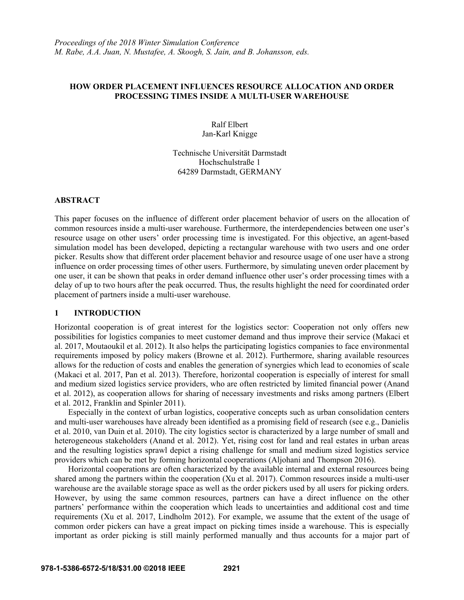# **HOW ORDER PLACEMENT INFLUENCES RESOURCE ALLOCATION AND ORDER PROCESSING TIMES INSIDE A MULTI-USER WAREHOUSE**

# Ralf Elbert Jan-Karl Knigge

# Technische Universität Darmstadt Hochschulstraße 1 64289 Darmstadt, GERMANY

# **ABSTRACT**

This paper focuses on the influence of different order placement behavior of users on the allocation of common resources inside a multi-user warehouse. Furthermore, the interdependencies between one user's resource usage on other users' order processing time is investigated. For this objective, an agent-based simulation model has been developed, depicting a rectangular warehouse with two users and one order picker. Results show that different order placement behavior and resource usage of one user have a strong influence on order processing times of other users. Furthermore, by simulating uneven order placement by one user, it can be shown that peaks in order demand influence other user's order processing times with a delay of up to two hours after the peak occurred. Thus, the results highlight the need for coordinated order placement of partners inside a multi-user warehouse.

# **1 INTRODUCTION**

Horizontal cooperation is of great interest for the logistics sector: Cooperation not only offers new possibilities for logistics companies to meet customer demand and thus improve their service (Makaci et al. 2017, Moutaoukil et al. 2012). It also helps the participating logistics companies to face environmental requirements imposed by policy makers (Browne et al. 2012). Furthermore, sharing available resources allows for the reduction of costs and enables the generation of synergies which lead to economies of scale (Makaci et al. 2017, Pan et al. 2013). Therefore, horizontal cooperation is especially of interest for small and medium sized logistics service providers, who are often restricted by limited financial power (Anand et al. 2012), as cooperation allows for sharing of necessary investments and risks among partners (Elbert et al. 2012, Franklin and Spinler 2011).

Especially in the context of urban logistics, cooperative concepts such as urban consolidation centers and multi-user warehouses have already been identified as a promising field of research (see e.g., Danielis et al. 2010, van Duin et al. 2010). The city logistics sector is characterized by a large number of small and heterogeneous stakeholders (Anand et al. 2012). Yet, rising cost for land and real estates in urban areas and the resulting logistics sprawl depict a rising challenge for small and medium sized logistics service providers which can be met by forming horizontal cooperations (Aljohani and Thompson 2016).

Horizontal cooperations are often characterized by the available internal and external resources being shared among the partners within the cooperation (Xu et al. 2017). Common resources inside a multi-user warehouse are the available storage space as well as the order pickers used by all users for picking orders. However, by using the same common resources, partners can have a direct influence on the other partners' performance within the cooperation which leads to uncertainties and additional cost and time requirements (Xu et al. 2017, Lindholm 2012). For example, we assume that the extent of the usage of common order pickers can have a great impact on picking times inside a warehouse. This is especially important as order picking is still mainly performed manually and thus accounts for a major part of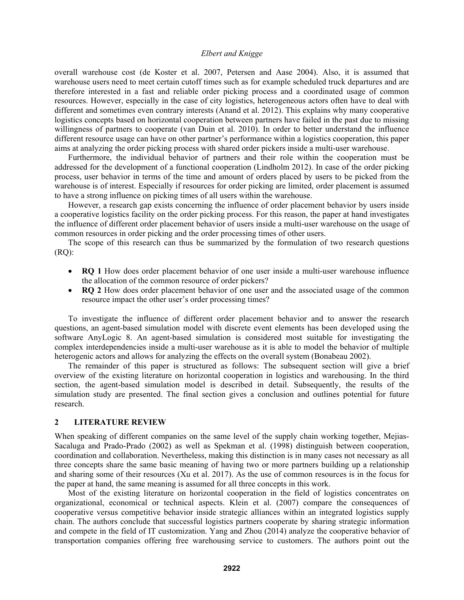overall warehouse cost (de Koster et al. 2007, Petersen and Aase 2004). Also, it is assumed that warehouse users need to meet certain cutoff times such as for example scheduled truck departures and are therefore interested in a fast and reliable order picking process and a coordinated usage of common resources. However, especially in the case of city logistics, heterogeneous actors often have to deal with different and sometimes even contrary interests (Anand et al. 2012). This explains why many cooperative logistics concepts based on horizontal cooperation between partners have failed in the past due to missing willingness of partners to cooperate (van Duin et al. 2010). In order to better understand the influence different resource usage can have on other partner's performance within a logistics cooperation, this paper aims at analyzing the order picking process with shared order pickers inside a multi-user warehouse.

Furthermore, the individual behavior of partners and their role within the cooperation must be addressed for the development of a functional cooperation (Lindholm 2012). In case of the order picking process, user behavior in terms of the time and amount of orders placed by users to be picked from the warehouse is of interest. Especially if resources for order picking are limited, order placement is assumed to have a strong influence on picking times of all users within the warehouse.

However, a research gap exists concerning the influence of order placement behavior by users inside a cooperative logistics facility on the order picking process. For this reason, the paper at hand investigates the influence of different order placement behavior of users inside a multi-user warehouse on the usage of common resources in order picking and the order processing times of other users.

The scope of this research can thus be summarized by the formulation of two research questions (RQ):

- **RQ 1** How does order placement behavior of one user inside a multi-user warehouse influence the allocation of the common resource of order pickers?
- **RQ 2** How does order placement behavior of one user and the associated usage of the common resource impact the other user's order processing times?

To investigate the influence of different order placement behavior and to answer the research questions, an agent-based simulation model with discrete event elements has been developed using the software AnyLogic 8. An agent-based simulation is considered most suitable for investigating the complex interdependencies inside a multi-user warehouse as it is able to model the behavior of multiple heterogenic actors and allows for analyzing the effects on the overall system (Bonabeau 2002).

The remainder of this paper is structured as follows: The subsequent section will give a brief overview of the existing literature on horizontal cooperation in logistics and warehousing. In the third section, the agent-based simulation model is described in detail. Subsequently, the results of the simulation study are presented. The final section gives a conclusion and outlines potential for future research.

#### **2 LITERATURE REVIEW**

When speaking of different companies on the same level of the supply chain working together, Mejias-Sacaluga and Prado-Prado (2002) as well as Spekman et al. (1998) distinguish between cooperation, coordination and collaboration. Nevertheless, making this distinction is in many cases not necessary as all three concepts share the same basic meaning of having two or more partners building up a relationship and sharing some of their resources (Xu et al. 2017). As the use of common resources is in the focus for the paper at hand, the same meaning is assumed for all three concepts in this work.

Most of the existing literature on horizontal cooperation in the field of logistics concentrates on organizational, economical or technical aspects. Klein et al. (2007) compare the consequences of cooperative versus competitive behavior inside strategic alliances within an integrated logistics supply chain. The authors conclude that successful logistics partners cooperate by sharing strategic information and compete in the field of IT customization. Yang and Zhou (2014) analyze the cooperative behavior of transportation companies offering free warehousing service to customers. The authors point out the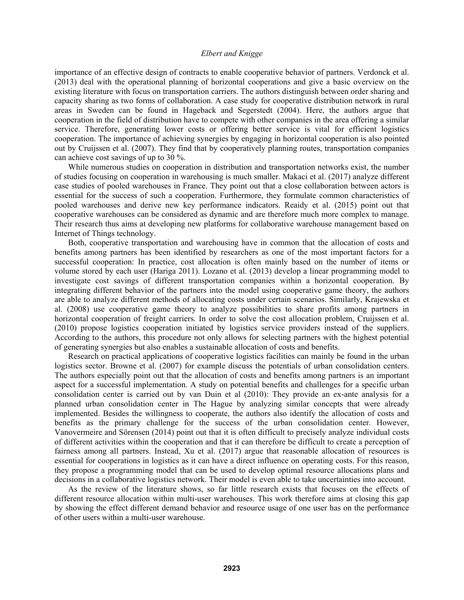importance of an effective design of contracts to enable cooperative behavior of partners. Verdonck et al. (2013) deal with the operational planning of horizontal cooperations and give a basic overview on the existing literature with focus on transportation carriers. The authors distinguish between order sharing and capacity sharing as two forms of collaboration. A case study for cooperative distribution network in rural areas in Sweden can be found in Hageback and Segerstedt (2004). Here, the authors argue that cooperation in the field of distribution have to compete with other companies in the area offering a similar service. Therefore, generating lower costs or offering better service is vital for efficient logistics cooperation. The importance of achieving synergies by engaging in horizontal cooperation is also pointed out by Cruijssen et al. (2007). They find that by cooperatively planning routes, transportation companies can achieve cost savings of up to 30 %.

While numerous studies on cooperation in distribution and transportation networks exist, the number of studies focusing on cooperation in warehousing is much smaller. Makaci et al. (2017) analyze different case studies of pooled warehouses in France. They point out that a close collaboration between actors is essential for the success of such a cooperation. Furthermore, they formulate common characteristics of pooled warehouses and derive new key performance indicators. Reaidy et al. (2015) point out that cooperative warehouses can be considered as dynamic and are therefore much more complex to manage. Their research thus aims at developing new platforms for collaborative warehouse management based on Internet of Things technology.

Both, cooperative transportation and warehousing have in common that the allocation of costs and benefits among partners has been identified by researchers as one of the most important factors for a successful cooperation: In practice, cost allocation is often mainly based on the number of items or volume stored by each user (Hariga 2011). Lozano et al. (2013) develop a linear programming model to investigate cost savings of different transportation companies within a horizontal cooperation. By integrating different behavior of the partners into the model using cooperative game theory, the authors are able to analyze different methods of allocating costs under certain scenarios. Similarly, Krajewska et al. (2008) use cooperative game theory to analyze possibilities to share profits among partners in horizontal cooperation of freight carriers. In order to solve the cost allocation problem, Cruijssen et al. (2010) propose logistics cooperation initiated by logistics service providers instead of the suppliers. According to the authors, this procedure not only allows for selecting partners with the highest potential of generating synergies but also enables a sustainable allocation of costs and benefits.

Research on practical applications of cooperative logistics facilities can mainly be found in the urban logistics sector. Browne et al. (2007) for example discuss the potentials of urban consolidation centers. The authors especially point out that the allocation of costs and benefits among partners is an important aspect for a successful implementation. A study on potential benefits and challenges for a specific urban consolidation center is carried out by van Duin et al (2010): They provide an ex-ante analysis for a planned urban consolidation center in The Hague by analyzing similar concepts that were already implemented. Besides the willingness to cooperate, the authors also identify the allocation of costs and benefits as the primary challenge for the success of the urban consolidation center. However, Vanovermeire and Sörensen (2014) point out that it is often difficult to precisely analyze individual costs of different activities within the cooperation and that it can therefore be difficult to create a perception of fairness among all partners. Instead, Xu et al. (2017) argue that reasonable allocation of resources is essential for cooperations in logistics as it can have a direct influence on operating costs. For this reason, they propose a programming model that can be used to develop optimal resource allocations plans and decisions in a collaborative logistics network. Their model is even able to take uncertainties into account.

As the review of the literature shows, so far little research exists that focuses on the effects of different resource allocation within multi-user warehouses. This work therefore aims at closing this gap by showing the effect different demand behavior and resource usage of one user has on the performance of other users within a multi-user warehouse.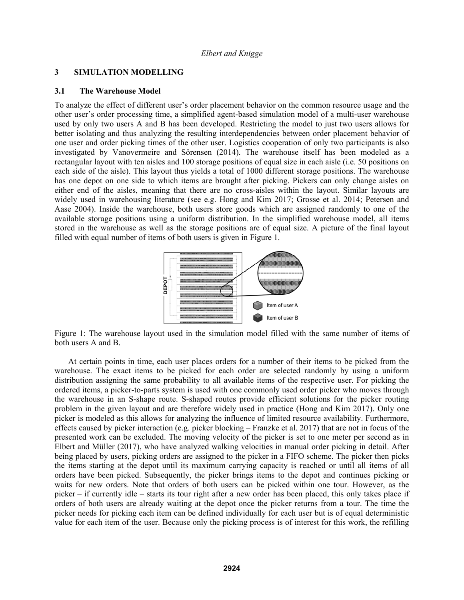# **3 SIMULATION MODELLING**

#### **3.1 The Warehouse Model**

To analyze the effect of different user's order placement behavior on the common resource usage and the other user's order processing time, a simplified agent-based simulation model of a multi-user warehouse used by only two users A and B has been developed. Restricting the model to just two users allows for better isolating and thus analyzing the resulting interdependencies between order placement behavior of one user and order picking times of the other user. Logistics cooperation of only two participants is also investigated by Vanovermeire and Sörensen (2014). The warehouse itself has been modeled as a rectangular layout with ten aisles and 100 storage positions of equal size in each aisle (i.e. 50 positions on each side of the aisle). This layout thus yields a total of 1000 different storage positions. The warehouse has one depot on one side to which items are brought after picking. Pickers can only change aisles on either end of the aisles, meaning that there are no cross-aisles within the layout. Similar layouts are widely used in warehousing literature (see e.g. Hong and Kim 2017; Grosse et al. 2014; Petersen and Aase 2004). Inside the warehouse, both users store goods which are assigned randomly to one of the available storage positions using a uniform distribution. In the simplified warehouse model, all items stored in the warehouse as well as the storage positions are of equal size. A picture of the final layout filled with equal number of items of both users is given in Figure 1.



Figure 1: The warehouse layout used in the simulation model filled with the same number of items of both users A and B.

At certain points in time, each user places orders for a number of their items to be picked from the warehouse. The exact items to be picked for each order are selected randomly by using a uniform distribution assigning the same probability to all available items of the respective user. For picking the ordered items, a picker-to-parts system is used with one commonly used order picker who moves through the warehouse in an S-shape route. S-shaped routes provide efficient solutions for the picker routing problem in the given layout and are therefore widely used in practice (Hong and Kim 2017). Only one picker is modeled as this allows for analyzing the influence of limited resource availability. Furthermore, effects caused by picker interaction (e.g. picker blocking – Franzke et al. 2017) that are not in focus of the presented work can be excluded. The moving velocity of the picker is set to one meter per second as in Elbert and Müller (2017), who have analyzed walking velocities in manual order picking in detail. After being placed by users, picking orders are assigned to the picker in a FIFO scheme. The picker then picks the items starting at the depot until its maximum carrying capacity is reached or until all items of all orders have been picked. Subsequently, the picker brings items to the depot and continues picking or waits for new orders. Note that orders of both users can be picked within one tour. However, as the picker – if currently idle – starts its tour right after a new order has been placed, this only takes place if orders of both users are already waiting at the depot once the picker returns from a tour. The time the picker needs for picking each item can be defined individually for each user but is of equal deterministic value for each item of the user. Because only the picking process is of interest for this work, the refilling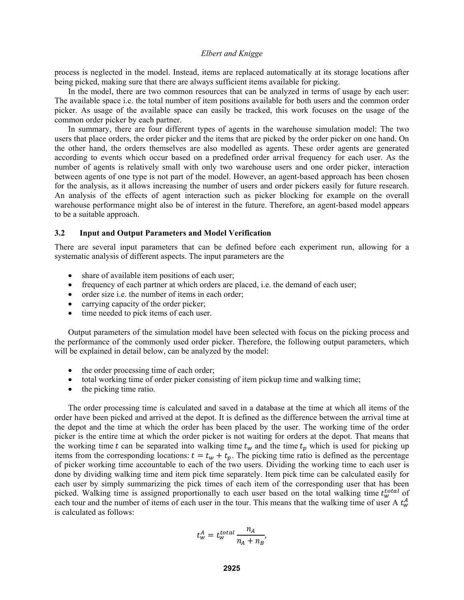process is neglected in the model. Instead, items are replaced automatically at its storage locations after being picked, making sure that there are always sufficient items available for picking.

In the model, there are two common resources that can be analyzed in terms of usage by each user: The available space i.e. the total number of item positions available for both users and the common order picker. As usage of the available space can easily be tracked, this work focuses on the usage of the common order picker by each partner.

In summary, there are four different types of agents in the warehouse simulation model: The two users that place orders, the order picker and the items that are picked by the order picker on one hand. On the other hand, the orders themselves are also modelled as agents. These order agents are generated according to events which occur based on a predefined order arrival frequency for each user. As the number of agents is relatively small with only two warehouse users and one order picker, interaction between agents of one type is not part of the model. However, an agent-based approach has been chosen for the analysis, as it allows increasing the number of users and order pickers easily for future research. An analysis of the effects of agent interaction such as picker blocking for example on the overall warehouse performance might also be of interest in the future. Therefore, an agent-based model appears to be a suitable approach.

# **3.2 Input and Output Parameters and Model Verification**

There are several input parameters that can be defined before each experiment run, allowing for a systematic analysis of different aspects. The input parameters are the

- share of available item positions of each user;
- frequency of each partner at which orders are placed, i.e. the demand of each user;
- order size i.e. the number of items in each order;
- carrying capacity of the order picker;
- time needed to pick items of each user.

Output parameters of the simulation model have been selected with focus on the picking process and the performance of the commonly used order picker. Therefore, the following output parameters, which will be explained in detail below, can be analyzed by the model:

- the order processing time of each order;
- total working time of order picker consisting of item pickup time and walking time;
- $\bullet$  the picking time ratio.

The order processing time is calculated and saved in a database at the time at which all items of the order have been picked and arrived at the depot. It is defined as the difference between the arrival time at the depot and the time at which the order has been placed by the user. The working time of the order picker is the entire time at which the order picker is not waiting for orders at the depot. That means that the working time t can be separated into walking time  $t_w$  and the time  $t_p$  which is used for picking up items from the corresponding locations:  $t = t_w + t_p$ . The picking time ratio is defined as the percentage of picker working time accountable to each of the two users. Dividing the working time to each user is done by dividing walking time and item pick time separately. Item pick time can be calculated easily for each user by simply summarizing the pick times of each item of the corresponding user that has been picked. Walking time is assigned proportionally to each user based on the total walking time  $t_w^{total}$  of each tour and the number of items of each user in the tour. This means that the walking time of user A  $t_w^A$ is calculated as follows:

$$
t_w^A = t_w^{total} \frac{n_A}{n_A + n_B},
$$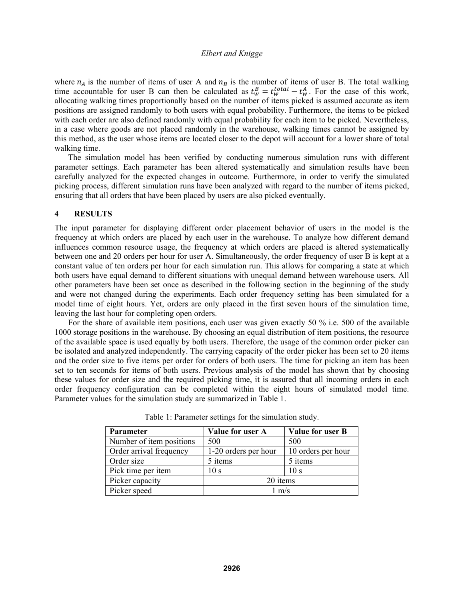where  $n_A$  is the number of items of user A and  $n_B$  is the number of items of user B. The total walking time accountable for user B can then be calculated as  $t_w^B = t_w^{total} - t_w^A$ . For the case of this work, allocating walking times proportionally based on the number of items picked is assumed accurate as item positions are assigned randomly to both users with equal probability. Furthermore, the items to be picked with each order are also defined randomly with equal probability for each item to be picked. Nevertheless, in a case where goods are not placed randomly in the warehouse, walking times cannot be assigned by this method, as the user whose items are located closer to the depot will account for a lower share of total walking time.

The simulation model has been verified by conducting numerous simulation runs with different parameter settings. Each parameter has been altered systematically and simulation results have been carefully analyzed for the expected changes in outcome. Furthermore, in order to verify the simulated picking process, different simulation runs have been analyzed with regard to the number of items picked, ensuring that all orders that have been placed by users are also picked eventually.

#### **4 RESULTS**

The input parameter for displaying different order placement behavior of users in the model is the frequency at which orders are placed by each user in the warehouse. To analyze how different demand influences common resource usage, the frequency at which orders are placed is altered systematically between one and 20 orders per hour for user A. Simultaneously, the order frequency of user B is kept at a constant value of ten orders per hour for each simulation run. This allows for comparing a state at which both users have equal demand to different situations with unequal demand between warehouse users. All other parameters have been set once as described in the following section in the beginning of the study and were not changed during the experiments. Each order frequency setting has been simulated for a model time of eight hours. Yet, orders are only placed in the first seven hours of the simulation time, leaving the last hour for completing open orders.

For the share of available item positions, each user was given exactly 50 % i.e. 500 of the available 1000 storage positions in the warehouse. By choosing an equal distribution of item positions, the resource of the available space is used equally by both users. Therefore, the usage of the common order picker can be isolated and analyzed independently. The carrying capacity of the order picker has been set to 20 items and the order size to five items per order for orders of both users. The time for picking an item has been set to ten seconds for items of both users. Previous analysis of the model has shown that by choosing these values for order size and the required picking time, it is assured that all incoming orders in each order frequency configuration can be completed within the eight hours of simulated model time. Parameter values for the simulation study are summarized in Table 1.

| <b>Parameter</b>         | Value for user A     | Value for user B   |  |  |
|--------------------------|----------------------|--------------------|--|--|
| Number of item positions | 500                  | 500                |  |  |
| Order arrival frequency  | 1-20 orders per hour | 10 orders per hour |  |  |
| Order size               | 5 items              | 5 items            |  |  |
| Pick time per item       | 10 <sub>s</sub>      | 10 <sub>s</sub>    |  |  |
| Picker capacity          | 20 items             |                    |  |  |
| Picker speed             | $1 \text{ m/s}$      |                    |  |  |

Table 1: Parameter settings for the simulation study.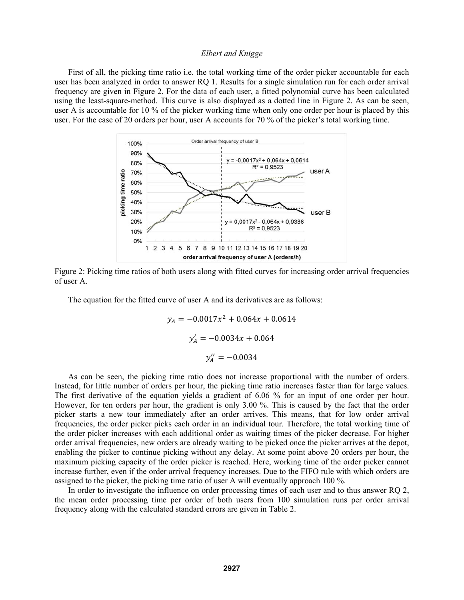First of all, the picking time ratio i.e. the total working time of the order picker accountable for each user has been analyzed in order to answer RQ 1. Results for a single simulation run for each order arrival frequency are given in Figure 2. For the data of each user, a fitted polynomial curve has been calculated using the least-square-method. This curve is also displayed as a dotted line in Figure 2. As can be seen, user A is accountable for 10 % of the picker working time when only one order per hour is placed by this user. For the case of 20 orders per hour, user A accounts for 70 % of the picker's total working time.



Figure 2: Picking time ratios of both users along with fitted curves for increasing order arrival frequencies of user A.

The equation for the fitted curve of user A and its derivatives are as follows:

$$
y_A = -0.0017x^2 + 0.064x + 0.0614
$$

$$
y'_A = -0.0034x + 0.064
$$

$$
y''_A = -0.0034
$$

As can be seen, the picking time ratio does not increase proportional with the number of orders. Instead, for little number of orders per hour, the picking time ratio increases faster than for large values. The first derivative of the equation yields a gradient of 6.06 % for an input of one order per hour. However, for ten orders per hour, the gradient is only 3.00 %. This is caused by the fact that the order picker starts a new tour immediately after an order arrives. This means, that for low order arrival frequencies, the order picker picks each order in an individual tour. Therefore, the total working time of the order picker increases with each additional order as waiting times of the picker decrease. For higher order arrival frequencies, new orders are already waiting to be picked once the picker arrives at the depot, enabling the picker to continue picking without any delay. At some point above 20 orders per hour, the maximum picking capacity of the order picker is reached. Here, working time of the order picker cannot increase further, even if the order arrival frequency increases. Due to the FIFO rule with which orders are assigned to the picker, the picking time ratio of user A will eventually approach 100 %.

In order to investigate the influence on order processing times of each user and to thus answer RQ 2, the mean order processing time per order of both users from 100 simulation runs per order arrival frequency along with the calculated standard errors are given in Table 2.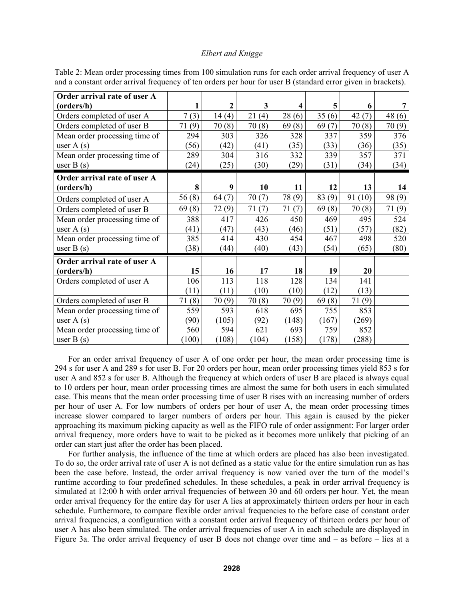| Order arrival rate of user A  |       |       |       |        |        |        |        |
|-------------------------------|-------|-------|-------|--------|--------|--------|--------|
| (orders/h)                    | 1     | 2     | 3     | 4      | 5      | 6      |        |
| Orders completed of user A    | 7(3)  | 14(4) | 21(4) | 28(6)  | 35(6)  | 42(7)  | 48(6)  |
| Orders completed of user B    | 71(9) | 70(8) | 70(8) | 69(8)  | 69(7)  | 70(8)  | 70(9)  |
| Mean order processing time of | 294   | 303   | 326   | 328    | 337    | 359    | 376    |
| user $A(s)$                   | (56)  | (42)  | (41)  | (35)   | (33)   | (36)   | (35)   |
| Mean order processing time of | 289   | 304   | 316   | 332    | 339    | 357    | 371    |
| user $B(s)$                   | (24)  | (25)  | (30)  | (29)   | (31)   | (34)   | (34)   |
| Order arrival rate of user A  |       |       |       |        |        |        |        |
| (orders/h)                    | 8     | 9     | 10    | 11     | 12     | 13     | 14     |
| Orders completed of user A    | 56(8) | 64(7) | 70(7) | 78 (9) | 83 (9) | 91(10) | 98 (9) |
| Orders completed of user B    | 69(8) | 72(9) | 71(7) | 71(7)  | 69(8)  | 70(8)  | 71(9)  |
| Mean order processing time of | 388   | 417   | 426   | 450    | 469    | 495    | 524    |
| user $A(s)$                   | (41)  | (47)  | (43)  | (46)   | (51)   | (57)   | (82)   |
| Mean order processing time of | 385   | 414   | 430   | 454    | 467    | 498    | 520    |
| user $B(s)$                   | (38)  | (44)  | (40)  | (43)   | (54)   | (65)   | (80)   |
| Order arrival rate of user A  |       |       |       |        |        |        |        |
| (orders/h)                    | 15    | 16    | 17    | 18     | 19     | 20     |        |
| Orders completed of user A    | 106   | 113   | 118   | 128    | 134    | 141    |        |
|                               | (11)  | (11)  | (10)  | (10)   | (12)   | (13)   |        |
| Orders completed of user B    | 71(8) | 70(9) | 70(8) | 70(9)  | 69(8)  | 71(9)  |        |
| Mean order processing time of | 559   | 593   | 618   | 695    | 755    | 853    |        |
| user $A(s)$                   | (90)  | (105) | (92)  | (148)  | (167)  | (269)  |        |
| Mean order processing time of | 560   | 594   | 621   | 693    | 759    | 852    |        |
| user $B(s)$                   | (100) | (108) | (104) | (158)  | (178)  | (288)  |        |

Table 2: Mean order processing times from 100 simulation runs for each order arrival frequency of user A and a constant order arrival frequency of ten orders per hour for user B (standard error given in brackets).

For an order arrival frequency of user A of one order per hour, the mean order processing time is 294 s for user A and 289 s for user B. For 20 orders per hour, mean order processing times yield 853 s for user A and 852 s for user B. Although the frequency at which orders of user B are placed is always equal to 10 orders per hour, mean order processing times are almost the same for both users in each simulated case. This means that the mean order processing time of user B rises with an increasing number of orders per hour of user A. For low numbers of orders per hour of user A, the mean order processing times increase slower compared to larger numbers of orders per hour. This again is caused by the picker approaching its maximum picking capacity as well as the FIFO rule of order assignment: For larger order arrival frequency, more orders have to wait to be picked as it becomes more unlikely that picking of an order can start just after the order has been placed.

For further analysis, the influence of the time at which orders are placed has also been investigated. To do so, the order arrival rate of user A is not defined as a static value for the entire simulation run as has been the case before. Instead, the order arrival frequency is now varied over the turn of the model's runtime according to four predefined schedules. In these schedules, a peak in order arrival frequency is simulated at 12:00 h with order arrival frequencies of between 30 and 60 orders per hour. Yet, the mean order arrival frequency for the entire day for user A lies at approximately thirteen orders per hour in each schedule. Furthermore, to compare flexible order arrival frequencies to the before case of constant order arrival frequencies, a configuration with a constant order arrival frequency of thirteen orders per hour of user A has also been simulated. The order arrival frequencies of user A in each schedule are displayed in Figure 3a. The order arrival frequency of user B does not change over time and – as before – lies at a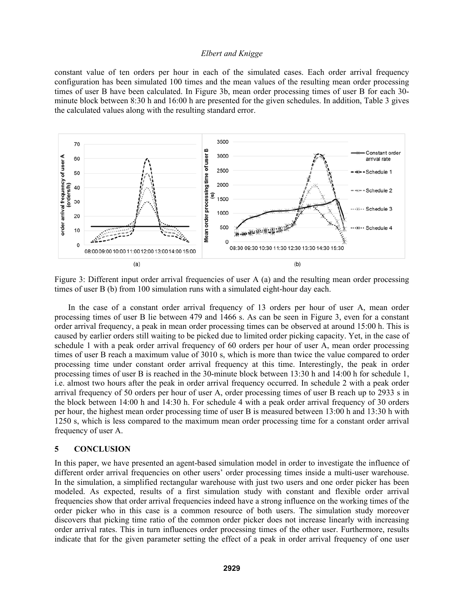constant value of ten orders per hour in each of the simulated cases. Each order arrival frequency configuration has been simulated 100 times and the mean values of the resulting mean order processing times of user B have been calculated. In Figure 3b, mean order processing times of user B for each 30 minute block between 8:30 h and 16:00 h are presented for the given schedules. In addition, Table 3 gives the calculated values along with the resulting standard error.



Figure 3: Different input order arrival frequencies of user A (a) and the resulting mean order processing times of user B (b) from 100 simulation runs with a simulated eight-hour day each.

In the case of a constant order arrival frequency of 13 orders per hour of user A, mean order processing times of user B lie between 479 and 1466 s. As can be seen in Figure 3, even for a constant order arrival frequency, a peak in mean order processing times can be observed at around 15:00 h. This is caused by earlier orders still waiting to be picked due to limited order picking capacity. Yet, in the case of schedule 1 with a peak order arrival frequency of 60 orders per hour of user A, mean order processing times of user B reach a maximum value of 3010 s, which is more than twice the value compared to order processing time under constant order arrival frequency at this time. Interestingly, the peak in order processing times of user B is reached in the 30-minute block between 13:30 h and 14:00 h for schedule 1, i.e. almost two hours after the peak in order arrival frequency occurred. In schedule 2 with a peak order arrival frequency of 50 orders per hour of user A, order processing times of user B reach up to 2933 s in the block between 14:00 h and 14:30 h. For schedule 4 with a peak order arrival frequency of 30 orders per hour, the highest mean order processing time of user B is measured between 13:00 h and 13:30 h with 1250 s, which is less compared to the maximum mean order processing time for a constant order arrival frequency of user A.

#### **5 CONCLUSION**

In this paper, we have presented an agent-based simulation model in order to investigate the influence of different order arrival frequencies on other users' order processing times inside a multi-user warehouse. In the simulation, a simplified rectangular warehouse with just two users and one order picker has been modeled. As expected, results of a first simulation study with constant and flexible order arrival frequencies show that order arrival frequencies indeed have a strong influence on the working times of the order picker who in this case is a common resource of both users. The simulation study moreover discovers that picking time ratio of the common order picker does not increase linearly with increasing order arrival rates. This in turn influences order processing times of the other user. Furthermore, results indicate that for the given parameter setting the effect of a peak in order arrival frequency of one user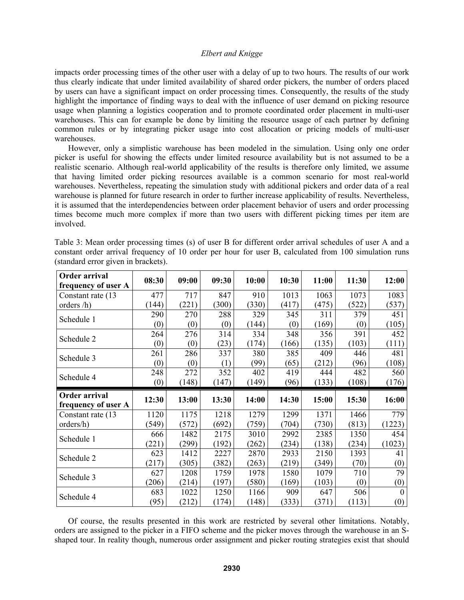impacts order processing times of the other user with a delay of up to two hours. The results of our work thus clearly indicate that under limited availability of shared order pickers, the number of orders placed by users can have a significant impact on order processing times. Consequently, the results of the study highlight the importance of finding ways to deal with the influence of user demand on picking resource usage when planning a logistics cooperation and to promote coordinated order placement in multi-user warehouses. This can for example be done by limiting the resource usage of each partner by defining common rules or by integrating picker usage into cost allocation or pricing models of multi-user warehouses.

However, only a simplistic warehouse has been modeled in the simulation. Using only one order picker is useful for showing the effects under limited resource availability but is not assumed to be a realistic scenario. Although real-world applicability of the results is therefore only limited, we assume that having limited order picking resources available is a common scenario for most real-world warehouses. Nevertheless, repeating the simulation study with additional pickers and order data of a real warehouse is planned for future research in order to further increase applicability of results. Nevertheless, it is assumed that the interdependencies between order placement behavior of users and order processing times become much more complex if more than two users with different picking times per item are involved.

| Order arrival<br>frequency of user A | 08:30 | 09:00 | 09:30 | 10:00 | 10:30 | 11:00 | 11:30 | 12:00    |
|--------------------------------------|-------|-------|-------|-------|-------|-------|-------|----------|
| Constant rate (13                    | 477   | 717   | 847   | 910   | 1013  | 1063  | 1073  | 1083     |
| orders /h)                           | (144) | (221) | (300) | (330) | (417) | (475) | (522) | (537)    |
| Schedule 1                           | 290   | 270   | 288   | 329   | 345   | 311   | 379   | 451      |
|                                      | (0)   | (0)   | (0)   | (144) | (0)   | (169) | (0)   | (105)    |
| Schedule 2                           | 264   | 276   | 314   | 334   | 348   | 356   | 391   | 452      |
|                                      | (0)   | (0)   | (23)  | (174) | (166) | (135) | (103) | (111)    |
|                                      | 261   | 286   | 337   | 380   | 385   | 409   | 446   | 481      |
| Schedule 3                           | (0)   | (0)   | (1)   | (99)  | (65)  | (212) | (96)  | (108)    |
| Schedule 4                           | 248   | 272   | 352   | 402   | 419   | 444   | 482   | 560      |
|                                      | (0)   | (148) | (147) | (149) | (96)  | (133) | (108) | (176)    |
|                                      |       |       |       |       |       |       |       |          |
| Order arrival                        |       |       |       |       |       |       |       |          |
| frequency of user A                  | 12:30 | 13:00 | 13:30 | 14:00 | 14:30 | 15:00 | 15:30 | 16:00    |
| Constant rate (13)                   | 1120  | 1175  | 1218  | 1279  | 1299  | 1371  | 1466  | 779      |
| orders/h)                            | (549) | (572) | (692) | (759) | (704) | (730) | (813) | (1223)   |
|                                      | 666   | 1482  | 2175  | 3010  | 2992  | 2385  | 1350  | 454      |
| Schedule 1                           | (221) | (299) | (192) | (262) | (234) | (138) | (234) | (1023)   |
|                                      | 623   | 1412  | 2227  | 2870  | 2933  | 2150  | 1393  | 41       |
| Schedule 2                           | (217) | (305) | (382) | (263) | (219) | (349) | (70)  | (0)      |
|                                      | 627   | 1208  | 1759  | 1978  | 1580  | 1079  | 710   | 79       |
| Schedule 3                           | (206) | (214) | (197) | (580) | (169) | (103) | (0)   | (0)      |
| Schedule 4                           | 683   | 1022  | 1250  | 1166  | 909   | 647   | 506   | $\theta$ |

Table 3: Mean order processing times (s) of user B for different order arrival schedules of user A and a constant order arrival frequency of 10 order per hour for user B, calculated from 100 simulation runs (standard error given in brackets).

Of course, the results presented in this work are restricted by several other limitations. Notably, orders are assigned to the picker in a FIFO scheme and the picker moves through the warehouse in an Sshaped tour. In reality though, numerous order assignment and picker routing strategies exist that should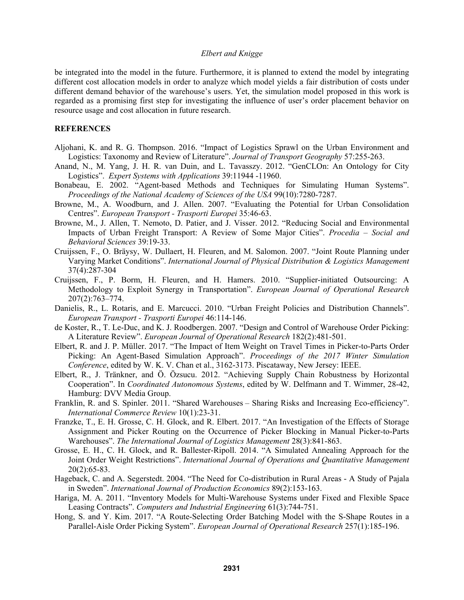be integrated into the model in the future. Furthermore, it is planned to extend the model by integrating different cost allocation models in order to analyze which model yields a fair distribution of costs under different demand behavior of the warehouse's users. Yet, the simulation model proposed in this work is regarded as a promising first step for investigating the influence of user's order placement behavior on resource usage and cost allocation in future research.

# **REFERENCES**

- Aljohani, K. and R. G. Thompson. 2016. "Impact of Logistics Sprawl on the Urban Environment and Logistics: Taxonomy and Review of Literature". *Journal of Transport Geography* 57:255-263.
- Anand, N., M. Yang, J. H. R. van Duin, and L. Tavasszy. 2012. "GenCLOn: An Ontology for City Logistics". *Expert Systems with Applications* 39:11944 -11960.
- Bonabeau, E. 2002. "Agent-based Methods and Techniques for Simulating Human Systems". *Proceedings of the National Academy of Sciences of the USA* 99(10):7280-7287.
- Browne, M., A. Woodburn, and J. Allen. 2007. "Evaluating the Potential for Urban Consolidation Centres". *European Transport - Trasporti Europei* 35:46-63.
- Browne, M., J. Allen, T. Nemoto, D. Patier, and J. Visser. 2012. "Reducing Social and Environmental Impacts of Urban Freight Transport: A Review of Some Major Cities". *Procedia – Social and Behavioral Sciences* 39:19-33.
- Cruijssen, F., O. Bräysy, W. Dullaert, H. Fleuren, and M. Salomon. 2007. "Joint Route Planning under Varying Market Conditions". *International Journal of Physical Distribution & Logistics Management* 37(4):287-304
- Cruijssen, F., P. Borm, H. Fleuren, and H. Hamers. 2010. "Supplier-initiated Outsourcing: A Methodology to Exploit Synergy in Transportation". *European Journal of Operational Research* 207(2):763–774.
- Danielis, R., L. Rotaris, and E. Marcucci. 2010. "Urban Freight Policies and Distribution Channels". *European Transport - Trasporti Europei* 46:114-146.
- de Koster, R., T. Le-Duc, and K. J. Roodbergen. 2007. "Design and Control of Warehouse Order Picking: A Literature Review". *European Journal of Operational Research* 182(2):481-501.
- Elbert, R. and J. P. Müller. 2017. "The Impact of Item Weight on Travel Times in Picker-to-Parts Order Picking: An Agent-Based Simulation Approach". *Proceedings of the 2017 Winter Simulation Conference*, edited by W. K. V. Chan et al., 3162-3173. Piscataway, New Jersey: IEEE.
- Elbert, R., J. Tränkner, and Ö. Özsucu. 2012. "Achieving Supply Chain Robustness by Horizontal Cooperation". In *Coordinated Autonomous Systems*, edited by W. Delfmann and T. Wimmer, 28-42, Hamburg: DVV Media Group.
- Franklin, R. and S. Spinler. 2011. "Shared Warehouses Sharing Risks and Increasing Eco-efficiency". *International Commerce Review* 10(1):23-31.
- Franzke, T., E. H. Grosse, C. H. Glock, and R. Elbert. 2017. "An Investigation of the Effects of Storage Assignment and Picker Routing on the Occurrence of Picker Blocking in Manual Picker-to-Parts Warehouses". *The International Journal of Logistics Management* 28(3):841-863.
- Grosse, E. H., C. H. Glock, and R. Ballester-Ripoll. 2014. "A Simulated Annealing Approach for the Joint Order Weight Restrictions". *International Journal of Operations and Quantitative Management*  20(2):65-83.
- Hageback, C. and A. Segerstedt. 2004. "The Need for Co-distribution in Rural Areas A Study of Pajala in Sweden". *International Journal of Production Economics* 89(2):153-163.
- Hariga, M. A. 2011. "Inventory Models for Multi-Warehouse Systems under Fixed and Flexible Space Leasing Contracts". *Computers and Industrial Engineering* 61(3):744-751.
- Hong, S. and Y. Kim. 2017. "A Route-Selecting Order Batching Model with the S-Shape Routes in a Parallel-Aisle Order Picking System". *European Journal of Operational Research* 257(1):185-196.